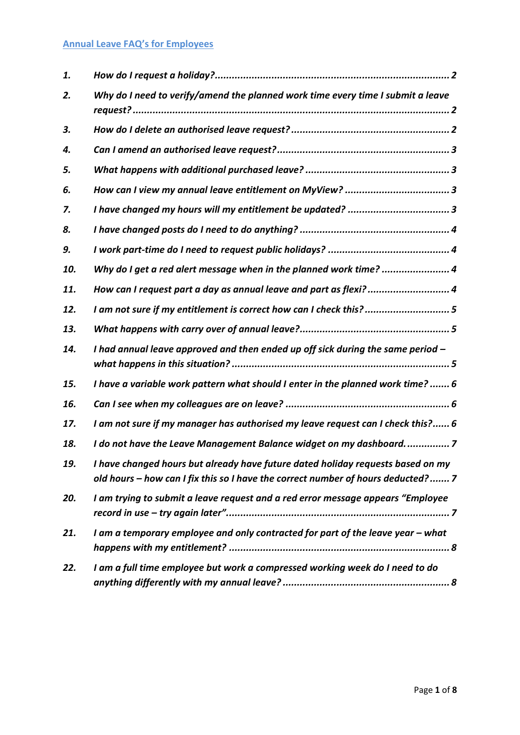### **Annual Leave FAQ's for Employees**

| 1.  |                                                                                                                                                                     |
|-----|---------------------------------------------------------------------------------------------------------------------------------------------------------------------|
| 2.  | Why do I need to verify/amend the planned work time every time I submit a leave                                                                                     |
| 3.  |                                                                                                                                                                     |
| 4.  |                                                                                                                                                                     |
| 5.  |                                                                                                                                                                     |
| 6.  |                                                                                                                                                                     |
| 7.  |                                                                                                                                                                     |
| 8.  |                                                                                                                                                                     |
| 9.  |                                                                                                                                                                     |
| 10. | Why do I get a red alert message when in the planned work time?  4                                                                                                  |
| 11. | How can I request part a day as annual leave and part as flexi?4                                                                                                    |
| 12. | I am not sure if my entitlement is correct how can I check this?5                                                                                                   |
| 13. |                                                                                                                                                                     |
| 14. | I had annual leave approved and then ended up off sick during the same period -                                                                                     |
| 15. | I have a variable work pattern what should I enter in the planned work time? 6                                                                                      |
| 16. |                                                                                                                                                                     |
| 17. | I am not sure if my manager has authorised my leave request can I check this? 6                                                                                     |
| 18. | I do not have the Leave Management Balance widget on my dashboard7                                                                                                  |
| 19. | I have changed hours but already have future dated holiday requests based on my<br>old hours - how can I fix this so I have the correct number of hours deducted? 7 |
| 20. | I am trying to submit a leave request and a red error message appears "Employee                                                                                     |
| 21. | I am a temporary employee and only contracted for part of the leave year - what                                                                                     |
| 22. | I am a full time employee but work a compressed working week do I need to do                                                                                        |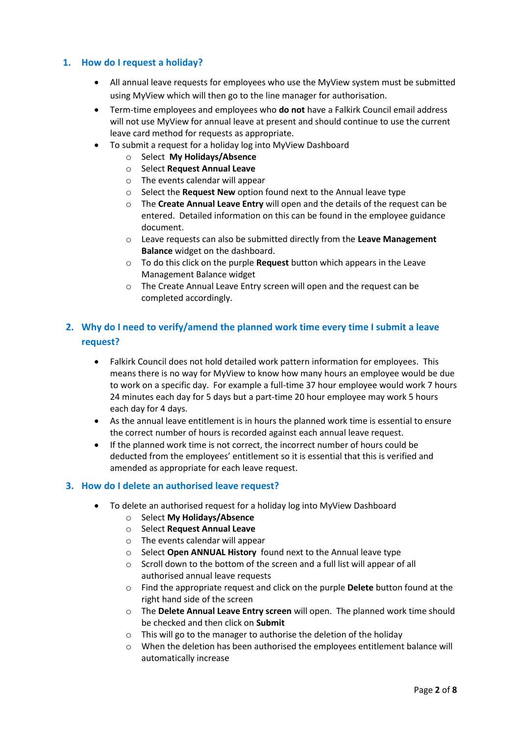### <span id="page-1-0"></span>**1. How do I request a holiday?**

- All annual leave requests for employees who use the MyView system must be submitted using MyView which will then go to the line manager for authorisation.
- Term-time employees and employees who **do not** have a Falkirk Council email address will not use MyView for annual leave at present and should continue to use the current leave card method for requests as appropriate.
- To submit a request for a holiday log into MyView Dashboard
	- o Select **My Holidays/Absence**
	- o Select **Request Annual Leave**
	- o The events calendar will appear
	- o Select the **Request New** option found next to the Annual leave type
	- o The **Create Annual Leave Entry** will open and the details of the request can be entered. Detailed information on this can be found in the employee guidance document.
	- o Leave requests can also be submitted directly from the **Leave Management Balance** widget on the dashboard.
	- o To do this click on the purple **Request** button which appears in the Leave Management Balance widget
	- o The Create Annual Leave Entry screen will open and the request can be completed accordingly.

## <span id="page-1-1"></span>**2. Why do I need to verify/amend the planned work time every time I submit a leave request?**

- Falkirk Council does not hold detailed work pattern information for employees. This means there is no way for MyView to know how many hours an employee would be due to work on a specific day. For example a full-time 37 hour employee would work 7 hours 24 minutes each day for 5 days but a part-time 20 hour employee may work 5 hours each day for 4 days.
- As the annual leave entitlement is in hours the planned work time is essential to ensure the correct number of hours is recorded against each annual leave request.
- If the planned work time is not correct, the incorrect number of hours could be deducted from the employees' entitlement so it is essential that this is verified and amended as appropriate for each leave request.

#### <span id="page-1-2"></span>**3. How do I delete an authorised leave request?**

- To delete an authorised request for a holiday log into MyView Dashboard
	- o Select **My Holidays/Absence**
	- o Select **Request Annual Leave**
	- o The events calendar will appear
	- o Select **Open ANNUAL History** found next to the Annual leave type
	- o Scroll down to the bottom of the screen and a full list will appear of all authorised annual leave requests
	- o Find the appropriate request and click on the purple **Delete** button found at the right hand side of the screen
	- o The **Delete Annual Leave Entry screen** will open. The planned work time should be checked and then click on **Submit**
	- o This will go to the manager to authorise the deletion of the holiday
	- $\circ$  When the deletion has been authorised the employees entitlement balance will automatically increase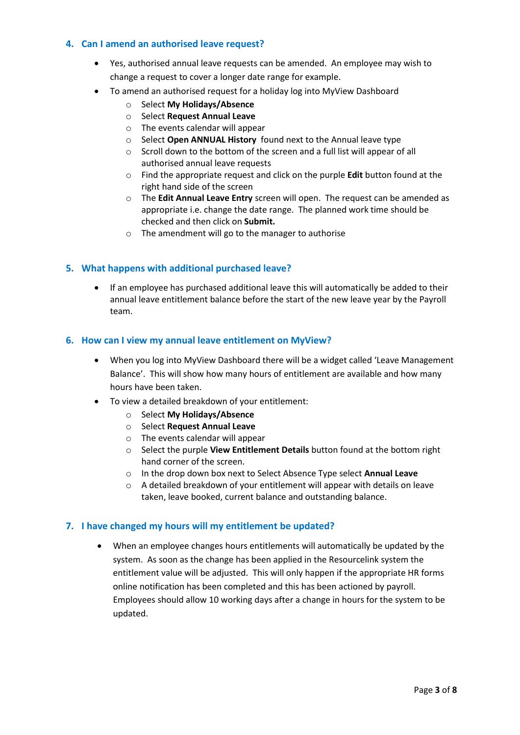#### <span id="page-2-0"></span>**4. Can I amend an authorised leave request?**

- Yes, authorised annual leave requests can be amended. An employee may wish to change a request to cover a longer date range for example.
- To amend an authorised request for a holiday log into MyView Dashboard
	- o Select **My Holidays/Absence**
	- o Select **Request Annual Leave**
	- o The events calendar will appear
	- o Select **Open ANNUAL History** found next to the Annual leave type
	- o Scroll down to the bottom of the screen and a full list will appear of all authorised annual leave requests
	- o Find the appropriate request and click on the purple **Edit** button found at the right hand side of the screen
	- o The **Edit Annual Leave Entry** screen will open. The request can be amended as appropriate i.e. change the date range. The planned work time should be checked and then click on **Submit.**
	- o The amendment will go to the manager to authorise

#### <span id="page-2-1"></span>**5. What happens with additional purchased leave?**

 If an employee has purchased additional leave this will automatically be added to their annual leave entitlement balance before the start of the new leave year by the Payroll team.

#### <span id="page-2-2"></span>**6. How can I view my annual leave entitlement on MyView?**

- When you log into MyView Dashboard there will be a widget called 'Leave Management Balance'. This will show how many hours of entitlement are available and how many hours have been taken.
- To view a detailed breakdown of your entitlement:
	- o Select **My Holidays/Absence**
	- o Select **Request Annual Leave**
	- o The events calendar will appear
	- o Select the purple **View Entitlement Details** button found at the bottom right hand corner of the screen.
	- o In the drop down box next to Select Absence Type select **Annual Leave**
	- o A detailed breakdown of your entitlement will appear with details on leave taken, leave booked, current balance and outstanding balance.

#### <span id="page-2-3"></span>**7. I have changed my hours will my entitlement be updated?**

 When an employee changes hours entitlements will automatically be updated by the system. As soon as the change has been applied in the Resourcelink system the entitlement value will be adjusted. This will only happen if the appropriate HR forms online notification has been completed and this has been actioned by payroll. Employees should allow 10 working days after a change in hours for the system to be updated.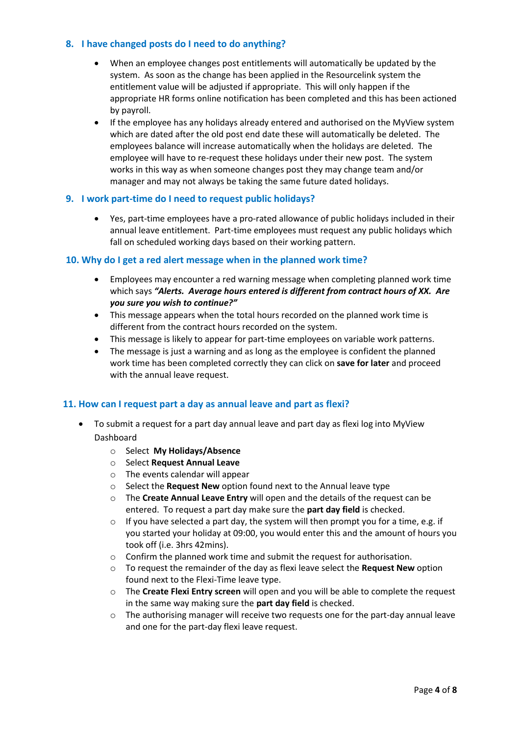#### <span id="page-3-0"></span>**8. I have changed posts do I need to do anything?**

- When an employee changes post entitlements will automatically be updated by the system. As soon as the change has been applied in the Resourcelink system the entitlement value will be adjusted if appropriate. This will only happen if the appropriate HR forms online notification has been completed and this has been actioned by payroll.
- If the employee has any holidays already entered and authorised on the MyView system which are dated after the old post end date these will automatically be deleted. The employees balance will increase automatically when the holidays are deleted. The employee will have to re-request these holidays under their new post. The system works in this way as when someone changes post they may change team and/or manager and may not always be taking the same future dated holidays.

#### <span id="page-3-1"></span>**9. I work part-time do I need to request public holidays?**

 Yes, part-time employees have a pro-rated allowance of public holidays included in their annual leave entitlement. Part-time employees must request any public holidays which fall on scheduled working days based on their working pattern.

#### <span id="page-3-2"></span>**10. Why do I get a red alert message when in the planned work time?**

- Employees may encounter a red warning message when completing planned work time which says *"Alerts. Average hours entered is different from contract hours of XX. Are you sure you wish to continue?"*
- This message appears when the total hours recorded on the planned work time is different from the contract hours recorded on the system.
- This message is likely to appear for part-time employees on variable work patterns.
- The message is just a warning and as long as the employee is confident the planned work time has been completed correctly they can click on **save for later** and proceed with the annual leave request.

#### <span id="page-3-3"></span>**11. How can I request part a day as annual leave and part as flexi?**

- To submit a request for a part day annual leave and part day as flexi log into MyView Dashboard
	- o Select **My Holidays/Absence**
	- o Select **Request Annual Leave**
	- o The events calendar will appear
	- o Select the **Request New** option found next to the Annual leave type
	- o The **Create Annual Leave Entry** will open and the details of the request can be entered. To request a part day make sure the **part day field** is checked.
	- $\circ$  If you have selected a part day, the system will then prompt you for a time, e.g. if you started your holiday at 09:00, you would enter this and the amount of hours you took off (i.e. 3hrs 42mins).
	- o Confirm the planned work time and submit the request for authorisation.
	- o To request the remainder of the day as flexi leave select the **Request New** option found next to the Flexi-Time leave type.
	- o The **Create Flexi Entry screen** will open and you will be able to complete the request in the same way making sure the **part day field** is checked.
	- o The authorising manager will receive two requests one for the part-day annual leave and one for the part-day flexi leave request.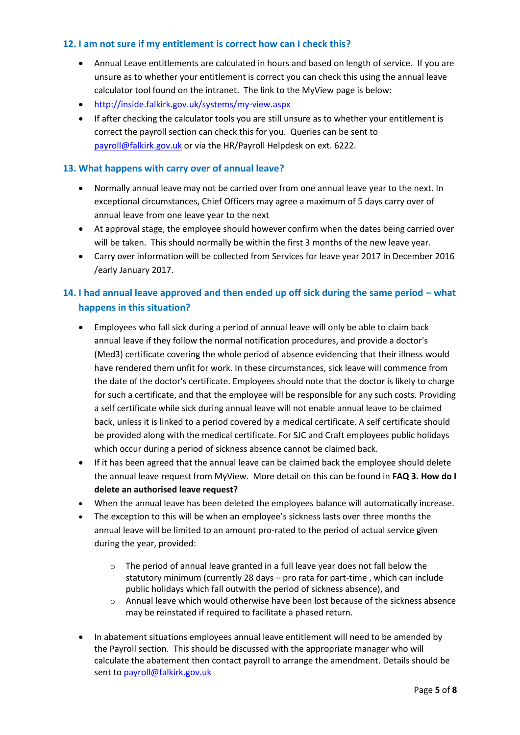#### <span id="page-4-0"></span>**12. I am not sure if my entitlement is correct how can I check this?**

- Annual Leave entitlements are calculated in hours and based on length of service. If you are unsure as to whether your entitlement is correct you can check this using the annual leave calculator tool found on the intranet. The link to the MyView page is below:
- <http://inside.falkirk.gov.uk/systems/my-view.aspx>
- If after checking the calculator tools you are still unsure as to whether your entitlement is correct the payroll section can check this for you. Queries can be sent to [payroll@falkirk.gov.uk](mailto:payroll@falkirk.gov.uk) or via the HR/Payroll Helpdesk on ext. 6222.

### <span id="page-4-1"></span>**13. What happens with carry over of annual leave?**

- Normally annual leave may not be carried over from one annual leave year to the next. In exceptional circumstances, Chief Officers may agree a maximum of 5 days carry over of annual leave from one leave year to the next
- At approval stage, the employee should however confirm when the dates being carried over will be taken. This should normally be within the first 3 months of the new leave year.
- Carry over information will be collected from Services for leave year 2017 in December 2016 /early January 2017.

## <span id="page-4-2"></span>**14. I had annual leave approved and then ended up off sick during the same period – what happens in this situation?**

- Employees who fall sick during a period of annual leave will only be able to claim back annual leave if they follow the normal notification procedures, and provide a doctor's (Med3) certificate covering the whole period of absence evidencing that their illness would have rendered them unfit for work. In these circumstances, sick leave will commence from the date of the doctor's certificate. Employees should note that the doctor is likely to charge for such a certificate, and that the employee will be responsible for any such costs. Providing a self certificate while sick during annual leave will not enable annual leave to be claimed back, unless it is linked to a period covered by a medical certificate. A self certificate should be provided along with the medical certificate. For SJC and Craft employees public holidays which occur during a period of sickness absence cannot be claimed back.
- If it has been agreed that the annual leave can be claimed back the employee should delete the annual leave request from MyView. More detail on this can be found in **FAQ 3. How do I delete an authorised leave request?**
- When the annual leave has been deleted the employees balance will automatically increase.
- The exception to this will be when an employee's sickness lasts over three months the annual leave will be limited to an amount pro-rated to the period of actual service given during the year, provided:
	- $\circ$  The period of annual leave granted in a full leave year does not fall below the statutory minimum (currently 28 days – pro rata for part-time , which can include public holidays which fall outwith the period of sickness absence), and
	- $\circ$  Annual leave which would otherwise have been lost because of the sickness absence may be reinstated if required to facilitate a phased return.
- In abatement situations employees annual leave entitlement will need to be amended by the Payroll section. This should be discussed with the appropriate manager who will calculate the abatement then contact payroll to arrange the amendment. Details should be sent t[o payroll@falkirk.gov.uk](mailto:payroll@falkirk.gov.uk)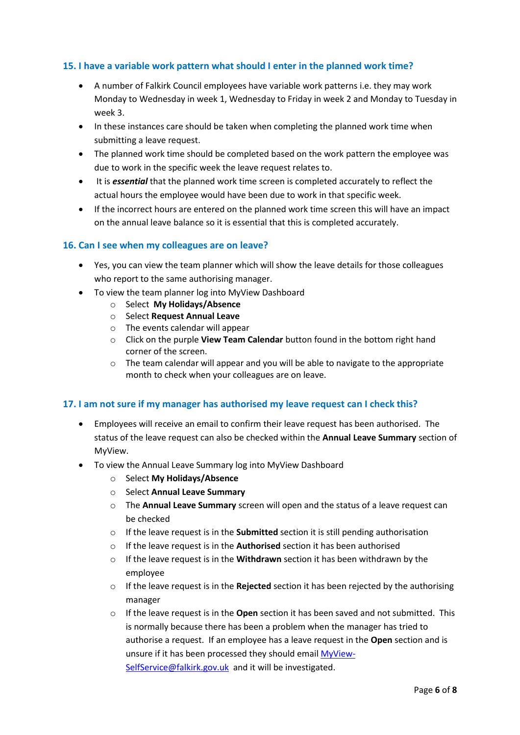### <span id="page-5-0"></span>**15. I have a variable work pattern what should I enter in the planned work time?**

- A number of Falkirk Council employees have variable work patterns i.e. they may work Monday to Wednesday in week 1, Wednesday to Friday in week 2 and Monday to Tuesday in week 3.
- In these instances care should be taken when completing the planned work time when submitting a leave request.
- The planned work time should be completed based on the work pattern the employee was due to work in the specific week the leave request relates to.
- It is *essential* that the planned work time screen is completed accurately to reflect the actual hours the employee would have been due to work in that specific week.
- If the incorrect hours are entered on the planned work time screen this will have an impact on the annual leave balance so it is essential that this is completed accurately.

#### <span id="page-5-1"></span>**16. Can I see when my colleagues are on leave?**

- Yes, you can view the team planner which will show the leave details for those colleagues who report to the same authorising manager.
- To view the team planner log into MyView Dashboard
	- o Select **My Holidays/Absence**
	- o Select **Request Annual Leave**
	- o The events calendar will appear
	- o Click on the purple **View Team Calendar** button found in the bottom right hand corner of the screen.
	- $\circ$  The team calendar will appear and you will be able to navigate to the appropriate month to check when your colleagues are on leave.

#### <span id="page-5-2"></span>**17. I am not sure if my manager has authorised my leave request can I check this?**

- Employees will receive an email to confirm their leave request has been authorised. The status of the leave request can also be checked within the **Annual Leave Summary** section of MyView.
- To view the Annual Leave Summary log into MyView Dashboard
	- o Select **My Holidays/Absence**
	- o Select **Annual Leave Summary**
	- o The **Annual Leave Summary** screen will open and the status of a leave request can be checked
	- o If the leave request is in the **Submitted** section it is still pending authorisation
	- o If the leave request is in the **Authorised** section it has been authorised
	- o If the leave request is in the **Withdrawn** section it has been withdrawn by the employee
	- o If the leave request is in the **Rejected** section it has been rejected by the authorising manager
	- o If the leave request is in the **Open** section it has been saved and not submitted. This is normally because there has been a problem when the manager has tried to authorise a request. If an employee has a leave request in the **Open** section and is unsure if it has been processed they should email [MyView-](mailto:MyView-SelfService@falkirk.gov.uk)[SelfService@falkirk.gov.uk](mailto:MyView-SelfService@falkirk.gov.uk) and it will be investigated.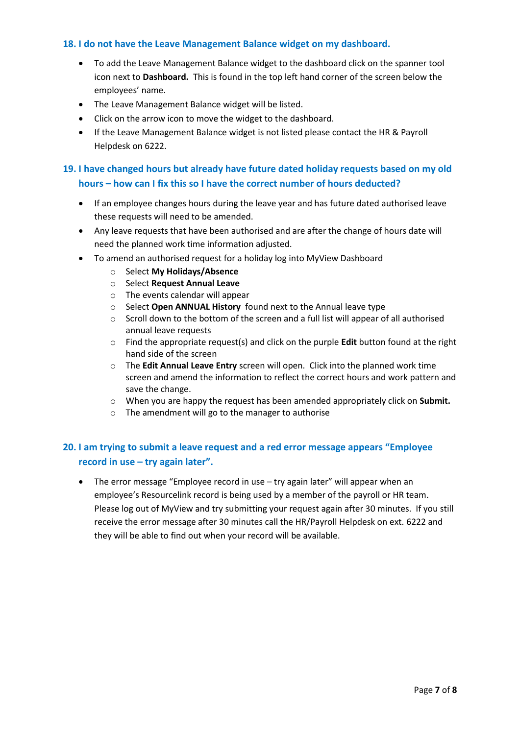#### <span id="page-6-0"></span>**18. I do not have the Leave Management Balance widget on my dashboard.**

- To add the Leave Management Balance widget to the dashboard click on the spanner tool icon next to **Dashboard.** This is found in the top left hand corner of the screen below the employees' name.
- The Leave Management Balance widget will be listed.
- Click on the arrow icon to move the widget to the dashboard.
- If the Leave Management Balance widget is not listed please contact the HR & Payroll Helpdesk on 6222.

## <span id="page-6-1"></span>**19. I have changed hours but already have future dated holiday requests based on my old hours – how can I fix this so I have the correct number of hours deducted?**

- If an employee changes hours during the leave year and has future dated authorised leave these requests will need to be amended.
- Any leave requests that have been authorised and are after the change of hours date will need the planned work time information adjusted.
- To amend an authorised request for a holiday log into MyView Dashboard
	- o Select **My Holidays/Absence**
	- o Select **Request Annual Leave**
	- o The events calendar will appear
	- o Select **Open ANNUAL History** found next to the Annual leave type
	- o Scroll down to the bottom of the screen and a full list will appear of all authorised annual leave requests
	- o Find the appropriate request(s) and click on the purple **Edit** button found at the right hand side of the screen
	- o The **Edit Annual Leave Entry** screen will open. Click into the planned work time screen and amend the information to reflect the correct hours and work pattern and save the change.
	- o When you are happy the request has been amended appropriately click on **Submit.**
	- o The amendment will go to the manager to authorise

## <span id="page-6-2"></span>**20. I am trying to submit a leave request and a red error message appears "Employee record in use – try again later".**

• The error message "Employee record in use – try again later" will appear when an employee's Resourcelink record is being used by a member of the payroll or HR team. Please log out of MyView and try submitting your request again after 30 minutes. If you still receive the error message after 30 minutes call the HR/Payroll Helpdesk on ext. 6222 and they will be able to find out when your record will be available.